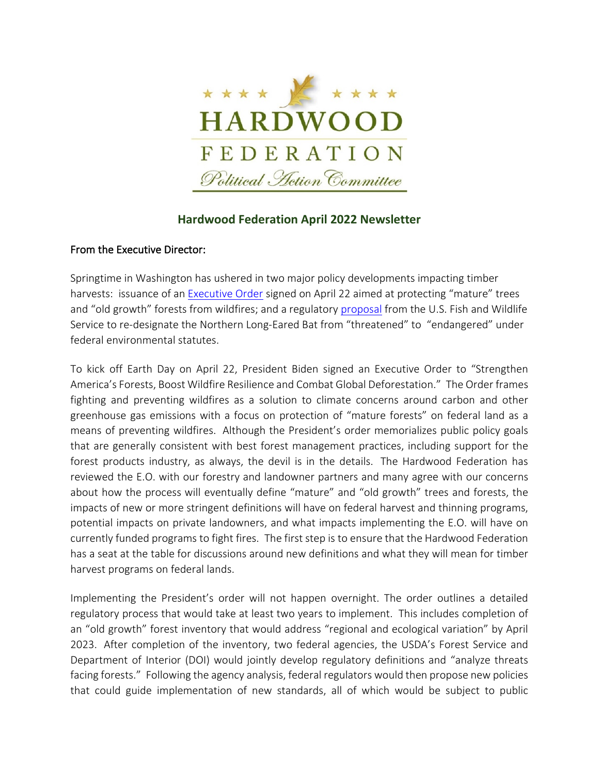

## **Hardwood Federation April 2022 Newsletter**

### From the Executive Director:

Springtime in Washington has ushered in two major policy developments impacting timber harvests: issuance of an [Executive Order](https://www.whitehouse.gov/briefing-room/statements-releases/2022/04/22/fact-sheet-president-biden-signs-executive-order-to-strengthen-americas-forests-boost-wildfire-resilience-and-combat-global-deforestation/) signed on April 22 aimed at protecting "mature" trees and "old growth" forests from wildfires; and a regulatory [proposal](https://www.federalregister.gov/documents/2022/03/23/2022-06168/endangered-and-threatened-wildlife-and-plants-endangered-species-status-for-northern-long-eared-bat) from the U.S. Fish and Wildlife Service to re-designate the Northern Long-Eared Bat from "threatened" to "endangered" under federal environmental statutes.

To kick off Earth Day on April 22, President Biden signed an Executive Order to "Strengthen America's Forests, Boost Wildfire Resilience and Combat Global Deforestation." The Order frames fighting and preventing wildfires as a solution to climate concerns around carbon and other greenhouse gas emissions with a focus on protection of "mature forests" on federal land as a means of preventing wildfires. Although the President's order memorializes public policy goals that are generally consistent with best forest management practices, including support for the forest products industry, as always, the devil is in the details. The Hardwood Federation has reviewed the E.O. with our forestry and landowner partners and many agree with our concerns about how the process will eventually define "mature" and "old growth" trees and forests, the impacts of new or more stringent definitions will have on federal harvest and thinning programs, potential impacts on private landowners, and what impacts implementing the E.O. will have on currently funded programs to fight fires. The first step is to ensure that the Hardwood Federation has a seat at the table for discussions around new definitions and what they will mean for timber harvest programs on federal lands.

Implementing the President's order will not happen overnight. The order outlines a detailed regulatory process that would take at least two years to implement. This includes completion of an "old growth" forest inventory that would address "regional and ecological variation" by April 2023. After completion of the inventory, two federal agencies, the USDA's Forest Service and Department of Interior (DOI) would jointly develop regulatory definitions and "analyze threats facing forests." Following the agency analysis, federal regulators would then propose new policies that could guide implementation of new standards, all of which would be subject to public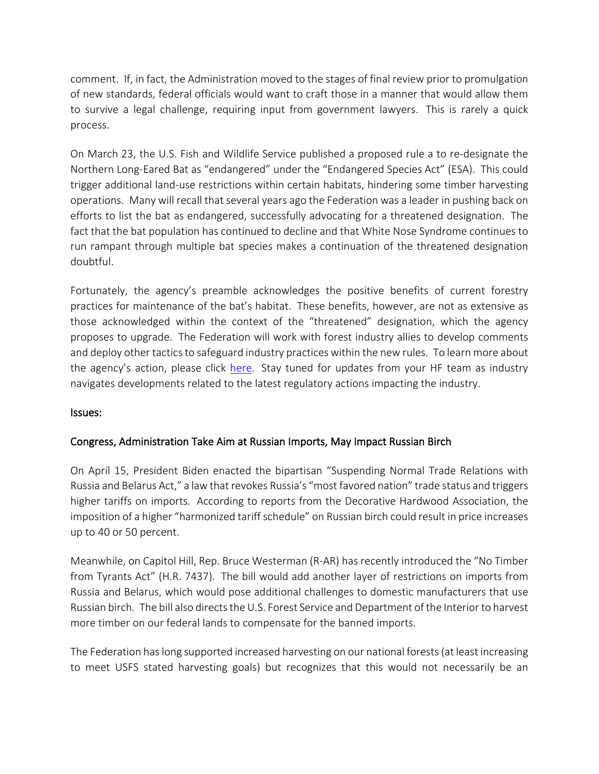comment. If, in fact, the Administration moved to the stages of final review prior to promulgation of new standards, federal officials would want to craft those in a manner that would allow them to survive a legal challenge, requiring input from government lawyers. This is rarely a quick process.

On March 23, the U.S. Fish and Wildlife Service published a proposed rule a to re-designate the Northern Long-Eared Bat as "endangered" under the "Endangered Species Act" (ESA). This could trigger additional land-use restrictions within certain habitats, hindering some timber harvesting operations. Many will recall that several years ago the Federation was a leader in pushing back on efforts to list the bat as endangered, successfully advocating for a threatened designation. The fact that the bat population has continued to decline and that White Nose Syndrome continues to run rampant through multiple bat species makes a continuation of the threatened designation doubtful.

Fortunately, the agency's preamble acknowledges the positive benefits of current forestry practices for maintenance of the bat's habitat. These benefits, however, are not as extensive as those acknowledged within the context of the "threatened" designation, which the agency proposes to upgrade. The Federation will work with forest industry allies to develop comments and deploy other tactics to safeguard industry practices within the new rules. To learn more about the agency's action, please click [here.](http://hardwood.linksto.net/ls/click?upn=VFn2IGkATPpsWYJ5qqpm8RnDIii-2BLooFxBS8H7esnAP-2FH-2FGoJPIIU1elMfehypfM5mgn85iK5axiB4n8n3J7Q8CnUlAyuGlp4CZNhfaXSu5FGPSTkHZU3CiXWG6mbiOBfWnwKFIYE74yYIXSFQMfHw-3D-3DQlYZ_DfShkWCAhoLGP-2FJNrdlPJdV-2FLULhdq7A2Mns4NO8kAbKoy2hBWCjup-2FdSJ4mtav3ZPDAMj5Um-2FlQWwL8173ujQ0mQmn09t5rIyLBJCR8SZZoZbcfy2S4gCmYxEE7ldORUlwF3Xl9ETMjaYKpdHvNb3Edpf7bP1NKHqOzaNfF8hp4ZKEfNfW1V0s-2BJSkbOTbsOvMcEwJexsAxfDpCkzaCCiQ7y88b-2BXck22SOJj0lGURAvLbXjFfkbcxfoTPS0eBvN4zD-2Bq-2BHt5jNu2vcgSo3nnhDyRwKC-2Fo3lTLTz2q5Y0N7Pm0V-2FK5KBYKsyVeLYivXDrgCjdzMRisYxKASvUPd95MYBiecA4xBfO9YIhVGNjA-3D) Stay tuned for updates from your HF team as industry navigates developments related to the latest regulatory actions impacting the industry.

#### Issues:

## Congress, Administration Take Aim at Russian Imports, May Impact Russian Birch

On April 15, President Biden enacted the bipartisan "Suspending Normal Trade Relations with Russia and Belarus Act," a law that revokes Russia's "most favored nation" trade status and triggers higher tariffs on imports. According to reports from the Decorative Hardwood Association, the imposition of a higher "harmonized tariff schedule" on Russian birch could result in price increases up to 40 or 50 percent.

Meanwhile, on Capitol Hill, Rep. Bruce Westerman (R-AR) has recently introduced the "No Timber from Tyrants Act" (H.R. 7437). The bill would add another layer of restrictions on imports from Russia and Belarus, which would pose additional challenges to domestic manufacturers that use Russian birch. The bill also directs the U.S. Forest Service and Department of the Interior to harvest more timber on our federal lands to compensate for the banned imports.

The Federation has long supported increased harvesting on our national forests(at least increasing to meet USFS stated harvesting goals) but recognizes that this would not necessarily be an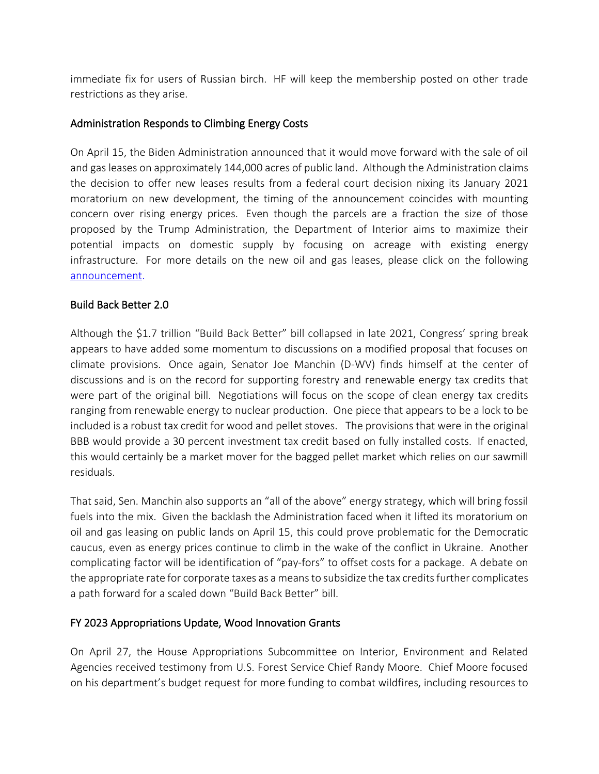immediate fix for users of Russian birch. HF will keep the membership posted on other trade restrictions as they arise.

#### Administration Responds to Climbing Energy Costs

On April 15, the Biden Administration announced that it would move forward with the sale of oil and gas leases on approximately 144,000 acres of public land. Although the Administration claims the decision to offer new leases results from a federal court decision nixing its January 2021 moratorium on new development, the timing of the announcement coincides with mounting concern over rising energy prices. Even though the parcels are a fraction the size of those proposed by the Trump Administration, the Department of Interior aims to maximize their potential impacts on domestic supply by focusing on acreage with existing energy infrastructure. For more details on the new oil and gas leases, please click on the following [announcement.](https://content.govdelivery.com/accounts/USDOI/bulletins/313a817)

#### Build Back Better 2.0

Although the \$1.7 trillion "Build Back Better" bill collapsed in late 2021, Congress' spring break appears to have added some momentum to discussions on a modified proposal that focuses on climate provisions. Once again, Senator Joe Manchin (D-WV) finds himself at the center of discussions and is on the record for supporting forestry and renewable energy tax credits that were part of the original bill. Negotiations will focus on the scope of clean energy tax credits ranging from renewable energy to nuclear production. One piece that appears to be a lock to be included is a robust tax credit for wood and pellet stoves. The provisions that were in the original BBB would provide a 30 percent investment tax credit based on fully installed costs. If enacted, this would certainly be a market mover for the bagged pellet market which relies on our sawmill residuals.

That said, Sen. Manchin also supports an "all of the above" energy strategy, which will bring fossil fuels into the mix. Given the backlash the Administration faced when it lifted its moratorium on oil and gas leasing on public lands on April 15, this could prove problematic for the Democratic caucus, even as energy prices continue to climb in the wake of the conflict in Ukraine. Another complicating factor will be identification of "pay-fors" to offset costs for a package. A debate on the appropriate rate for corporate taxes as a means to subsidize the tax credits further complicates a path forward for a scaled down "Build Back Better" bill.

#### FY 2023 Appropriations Update, Wood Innovation Grants

On April 27, the House Appropriations Subcommittee on Interior, Environment and Related Agencies received testimony from U.S. Forest Service Chief Randy Moore. Chief Moore focused on his department's budget request for more funding to combat wildfires, including resources to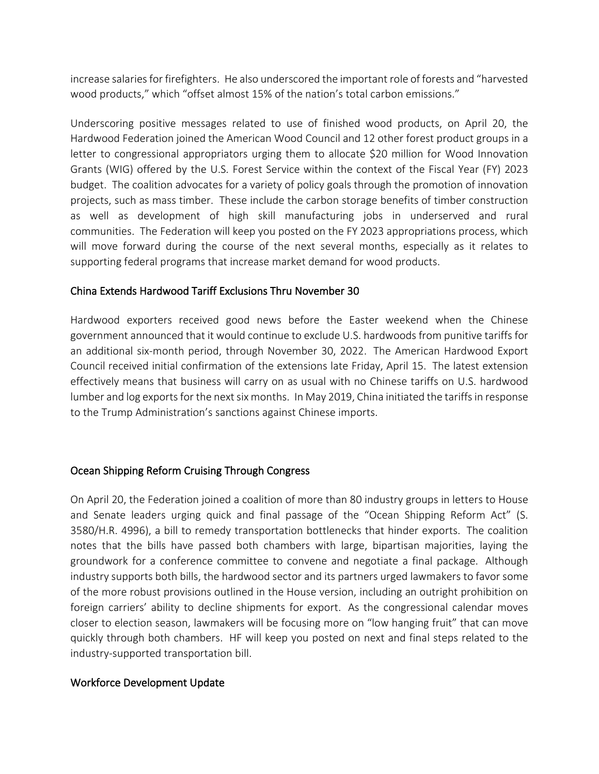increase salaries for firefighters. He also underscored the important role of forests and "harvested wood products," which "offset almost 15% of the nation's total carbon emissions."

Underscoring positive messages related to use of finished wood products, on April 20, the Hardwood Federation joined the American Wood Council and 12 other forest product groups in a letter to congressional appropriators urging them to allocate \$20 million for Wood Innovation Grants (WIG) offered by the U.S. Forest Service within the context of the Fiscal Year (FY) 2023 budget. The coalition advocates for a variety of policy goals through the promotion of innovation projects, such as mass timber. These include the carbon storage benefits of timber construction as well as development of high skill manufacturing jobs in underserved and rural communities. The Federation will keep you posted on the FY 2023 appropriations process, which will move forward during the course of the next several months, especially as it relates to supporting federal programs that increase market demand for wood products.

#### China Extends Hardwood Tariff Exclusions Thru November 30

Hardwood exporters received good news before the Easter weekend when the Chinese government announced that it would continue to exclude U.S. hardwoods from punitive tariffs for an additional six-month period, through November 30, 2022. The American Hardwood Export Council received initial confirmation of the extensions late Friday, April 15. The latest extension effectively means that business will carry on as usual with no Chinese tariffs on U.S. hardwood lumber and log exports for the next six months. In May 2019, China initiated the tariffs in response to the Trump Administration's sanctions against Chinese imports.

## Ocean Shipping Reform Cruising Through Congress

On April 20, the Federation joined a coalition of more than 80 industry groups in letters to House and Senate leaders urging quick and final passage of the "Ocean Shipping Reform Act" (S. 3580/H.R. 4996), a bill to remedy transportation bottlenecks that hinder exports. The coalition notes that the bills have passed both chambers with large, bipartisan majorities, laying the groundwork for a conference committee to convene and negotiate a final package. Although industry supports both bills, the hardwood sector and its partners urged lawmakers to favor some of the more robust provisions outlined in the House version, including an outright prohibition on foreign carriers' ability to decline shipments for export. As the congressional calendar moves closer to election season, lawmakers will be focusing more on "low hanging fruit" that can move quickly through both chambers. HF will keep you posted on next and final steps related to the industry-supported transportation bill.

#### Workforce Development Update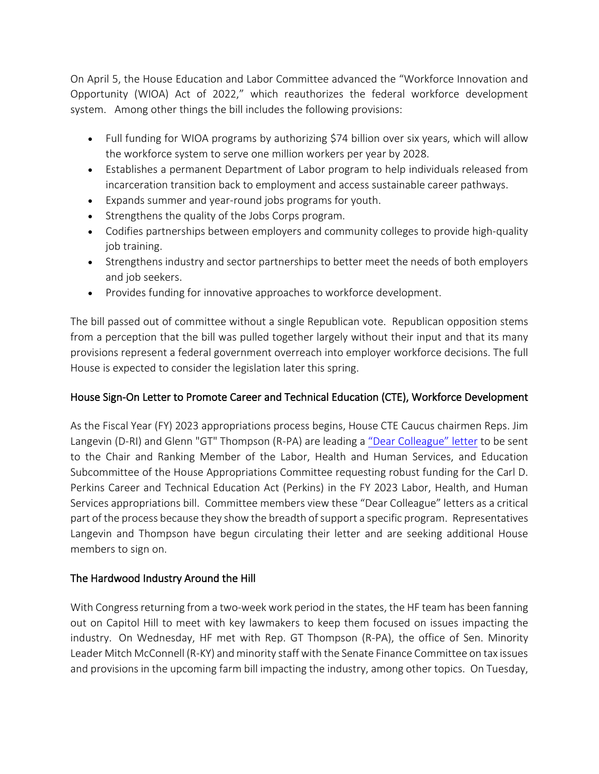On April 5, the House Education and Labor Committee advanced the "Workforce Innovation and Opportunity (WIOA) Act of 2022," which reauthorizes the federal workforce development system. Among other things the bill includes the following provisions:

- Full funding for WIOA programs by authorizing \$74 billion over six years, which will allow the workforce system to serve one million workers per year by 2028.
- Establishes a permanent Department of Labor program to help individuals released from incarceration transition back to employment and access sustainable career pathways.
- Expands summer and year-round jobs programs for youth.
- Strengthens the quality of the Jobs Corps program.
- Codifies partnerships between employers and community colleges to provide high-quality job training.
- Strengthens industry and sector partnerships to better meet the needs of both employers and job seekers.
- Provides funding for innovative approaches to workforce development.

The bill passed out of committee without a single Republican vote. Republican opposition stems from a perception that the bill was pulled together largely without their input and that its many provisions represent a federal government overreach into employer workforce decisions. The full House is expected to consider the legislation later this spring.

# House Sign-On Letter to Promote Career and Technical Education (CTE), Workforce Development

As the Fiscal Year (FY) 2023 appropriations process begins, House CTE Caucus chairmen Reps. Jim Langevin (D-RI) and Glenn "GT" Thompson (R-PA) are leading a ["Dear Colleague" letter](https://acteonline.us10.list-manage.com/track/click?u=7d8edbac43d218bd2eb969f7c&id=26b866f562&e=c744691d98) to be sent to the Chair and Ranking Member of the Labor, Health and Human Services, and Education Subcommittee of the House Appropriations Committee requesting robust funding for the Carl D. Perkins Career and Technical Education Act (Perkins) in the FY 2023 Labor, Health, and Human Services appropriations bill. Committee members view these "Dear Colleague" letters as a critical part of the process because they show the breadth of support a specific program. Representatives Langevin and Thompson have begun circulating their letter and are seeking additional House members to sign on.

# The Hardwood Industry Around the Hill

With Congress returning from a two-week work period in the states, the HF team has been fanning out on Capitol Hill to meet with key lawmakers to keep them focused on issues impacting the industry. On Wednesday, HF met with Rep. GT Thompson (R-PA), the office of Sen. Minority Leader Mitch McConnell (R-KY) and minority staff with the Senate Finance Committee on tax issues and provisions in the upcoming farm bill impacting the industry, among other topics. On Tuesday,